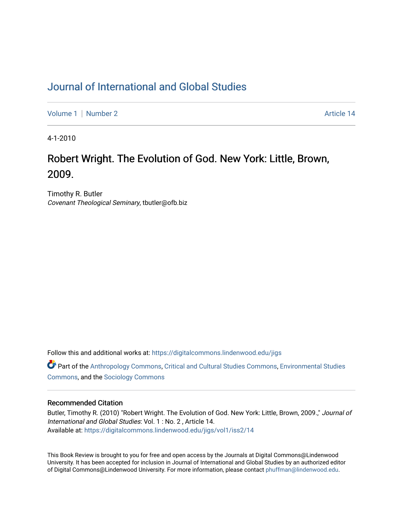## [Journal of International and Global Studies](https://digitalcommons.lindenwood.edu/jigs)

[Volume 1](https://digitalcommons.lindenwood.edu/jigs/vol1) | [Number 2](https://digitalcommons.lindenwood.edu/jigs/vol1/iss2) Article 14

4-1-2010

# Robert Wright. The Evolution of God. New York: Little, Brown, 2009.

Timothy R. Butler Covenant Theological Seminary, tbutler@ofb.biz

Follow this and additional works at: [https://digitalcommons.lindenwood.edu/jigs](https://digitalcommons.lindenwood.edu/jigs?utm_source=digitalcommons.lindenwood.edu%2Fjigs%2Fvol1%2Fiss2%2F14&utm_medium=PDF&utm_campaign=PDFCoverPages) 

**C** Part of the [Anthropology Commons](http://network.bepress.com/hgg/discipline/318?utm_source=digitalcommons.lindenwood.edu%2Fjigs%2Fvol1%2Fiss2%2F14&utm_medium=PDF&utm_campaign=PDFCoverPages), [Critical and Cultural Studies Commons](http://network.bepress.com/hgg/discipline/328?utm_source=digitalcommons.lindenwood.edu%2Fjigs%2Fvol1%2Fiss2%2F14&utm_medium=PDF&utm_campaign=PDFCoverPages), Environmental Studies [Commons](http://network.bepress.com/hgg/discipline/1333?utm_source=digitalcommons.lindenwood.edu%2Fjigs%2Fvol1%2Fiss2%2F14&utm_medium=PDF&utm_campaign=PDFCoverPages), and the [Sociology Commons](http://network.bepress.com/hgg/discipline/416?utm_source=digitalcommons.lindenwood.edu%2Fjigs%2Fvol1%2Fiss2%2F14&utm_medium=PDF&utm_campaign=PDFCoverPages)

#### Recommended Citation

Butler, Timothy R. (2010) "Robert Wright. The Evolution of God. New York: Little, Brown, 2009.," Journal of International and Global Studies: Vol. 1 : No. 2 , Article 14. Available at: [https://digitalcommons.lindenwood.edu/jigs/vol1/iss2/14](https://digitalcommons.lindenwood.edu/jigs/vol1/iss2/14?utm_source=digitalcommons.lindenwood.edu%2Fjigs%2Fvol1%2Fiss2%2F14&utm_medium=PDF&utm_campaign=PDFCoverPages) 

This Book Review is brought to you for free and open access by the Journals at Digital Commons@Lindenwood University. It has been accepted for inclusion in Journal of International and Global Studies by an authorized editor of Digital Commons@Lindenwood University. For more information, please contact [phuffman@lindenwood.edu](mailto:phuffman@lindenwood.edu).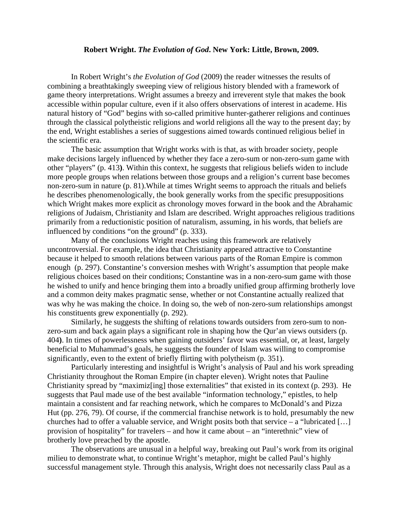#### **Robert Wright.** *The Evolution of God***. New York: Little, Brown, 2009.**

In Robert Wright's *the Evolution of God* (2009) the reader witnesses the results of combining a breathtakingly sweeping view of religious history blended with a framework of game theory interpretations. Wright assumes a breezy and irreverent style that makes the book accessible within popular culture, even if it also offers observations of interest in academe. His natural history of "God" begins with so-called primitive hunter-gatherer religions and continues through the classical polytheistic religions and world religions all the way to the present day; by the end, Wright establishes a series of suggestions aimed towards continued religious belief in the scientific era.

The basic assumption that Wright works with is that, as with broader society, people make decisions largely influenced by whether they face a zero-sum or non-zero-sum game with other "players" (p. 413**)**. Within this context, he suggests that religious beliefs widen to include more people groups when relations between those groups and a religion's current base becomes non-zero-sum in nature (p. 81).While at times Wright seems to approach the rituals and beliefs he describes phenomenologically, the book generally works from the specific presuppositions which Wright makes more explicit as chronology moves forward in the book and the Abrahamic religions of Judaism, Christianity and Islam are described. Wright approaches religious traditions primarily from a reductionistic position of naturalism, assuming, in his words, that beliefs are influenced by conditions "on the ground" (p. 333).

Many of the conclusions Wright reaches using this framework are relatively uncontroversial. For example, the idea that Christianity appeared attractive to Constantine because it helped to smooth relations between various parts of the Roman Empire is common enough (p. 297). Constantine's conversion meshes with Wright's assumption that people make religious choices based on their conditions; Constantine was in a non-zero-sum game with those he wished to unify and hence bringing them into a broadly unified group affirming brotherly love and a common deity makes pragmatic sense, whether or not Constantine actually realized that was why he was making the choice. In doing so, the web of non-zero-sum relationships amongst his constituents grew exponentially (p. 292).

Similarly, he suggests the shifting of relations towards outsiders from zero-sum to nonzero-sum and back again plays a significant role in shaping how the Qur'an views outsiders (p. 404**)**. In times of powerlessness when gaining outsiders' favor was essential, or, at least, largely beneficial to Muhammad's goals, he suggests the founder of Islam was willing to compromise significantly, even to the extent of briefly flirting with polytheism (p. 351).

Particularly interesting and insightful is Wright's analysis of Paul and his work spreading Christianity throughout the Roman Empire (in chapter eleven). Wright notes that Pauline Christianity spread by "maximiz[ing] those externalities" that existed in its context (p. 293). He suggests that Paul made use of the best available "information technology," epistles, to help maintain a consistent and far reaching network, which he compares to McDonald's and Pizza Hut (pp. 276, 79). Of course, if the commercial franchise network is to hold, presumably the new churches had to offer a valuable service, and Wright posits both that service – a "lubricated […] provision of hospitality" for travelers – and how it came about – an "interethnic" view of brotherly love preached by the apostle.

The observations are unusual in a helpful way, breaking out Paul's work from its original milieu to demonstrate what, to continue Wright's metaphor, might be called Paul's highly successful management style. Through this analysis, Wright does not necessarily class Paul as a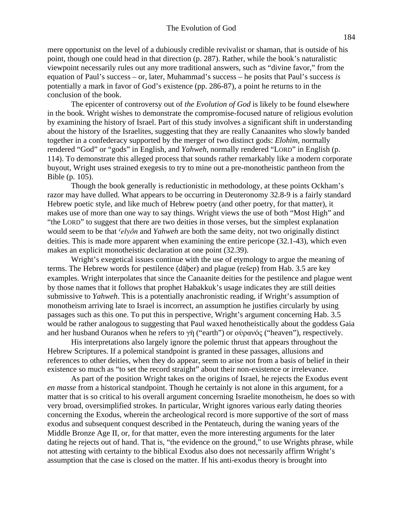mere opportunist on the level of a dubiously credible revivalist or shaman, that is outside of his point, though one could head in that direction (p. 287). Rather, while the book's naturalistic viewpoint necessarily rules out any more traditional answers, such as "divine favor," from the equation of Paul's success – or, later, Muhammad's success – he posits that Paul's success *is* potentially a mark in favor of God's existence (pp. 286-87), a point he returns to in the conclusion of the book.

The epicenter of controversy out of *the Evolution of God* is likely to be found elsewhere in the book. Wright wishes to demonstrate the compromise-focused nature of religious evolution by examining the history of Israel. Part of this study involves a significant shift in understanding about the history of the Israelites, suggesting that they are really Canaanites who slowly banded together in a confederacy supported by the merger of two distinct gods: *Elohim,* normally rendered "God" or "gods" in English, and *Yahweh*, normally rendered "LORD" in English (p. 114). To demonstrate this alleged process that sounds rather remarkably like a modern corporate buyout, Wright uses strained exegesis to try to mine out a pre-monotheistic pantheon from the Bible (p. 105).

Though the book generally is reductionistic in methodology, at these points Ockham's razor may have dulled. What appears to be occurring in Deuteronomy 32.8-9 is a fairly standard Hebrew poetic style, and like much of Hebrew poetry (and other poetry, for that matter), it makes use of more than one way to say things. Wright views the use of both "Most High" and "the LORD" to suggest that there are two deities in those verses, but the simplest explanation would seem to be that *'elyôn* and *Yahweh* are both the same deity, not two originally distinct deities. This is made more apparent when examining the entire pericope (32.1-43), which even makes an explicit monotheistic declaration at one point (32.39).

Wright's exegetical issues continue with the use of etymology to argue the meaning of terms. The Hebrew words for pestilence (daber) and plague (resep) from Hab. 3.5 are key examples. Wright interpolates that since the Canaanite deities for the pestilence and plague went by those names that it follows that prophet Habakkuk's usage indicates they are still deities submissive to *Yahweh*. This is a potentially anachronistic reading, if Wright's assumption of monotheism arriving late to Israel is incorrect, an assumption he justifies circularly by using passages such as this one. To put this in perspective, Wright's argument concerning Hab. 3.5 would be rather analogous to suggesting that Paul waxed henotheistically about the goddess Gaia and her husband Ouranos when he refers to γῆ ("earth") or οὐρανός ("heaven"), respectively.

His interpretations also largely ignore the polemic thrust that appears throughout the Hebrew Scriptures. If a polemical standpoint is granted in these passages, allusions and references to other deities, when they do appear, seem to arise not from a basis of belief in their existence so much as "to set the record straight" about their non-existence or irrelevance.

As part of the position Wright takes on the origins of Israel, he rejects the Exodus event *en masse* from a historical standpoint. Though he certainly is not alone in this argument, for a matter that is so critical to his overall argument concerning Israelite monotheism, he does so with very broad, oversimplified strokes. In particular, Wright ignores various early dating theories concerning the Exodus, wherein the archeological record is more supportive of the sort of mass exodus and subsequent conquest described in the Pentateuch, during the waning years of the Middle Bronze Age II, or, for that matter, even the more interesting arguments for the later dating he rejects out of hand. That is, "the evidence on the ground," to use Wrights phrase, while not attesting with certainty to the biblical Exodus also does not necessarily affirm Wright's assumption that the case is closed on the matter. If his anti-exodus theory is brought into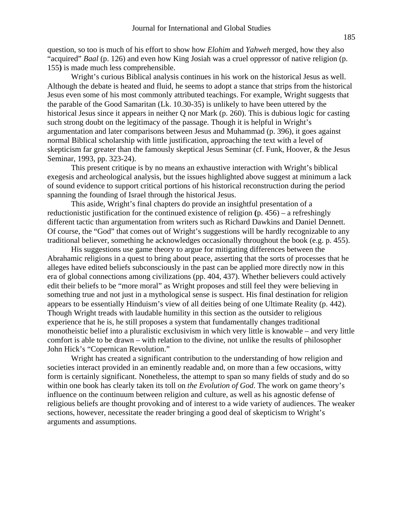question, so too is much of his effort to show how *Elohim* and *Yahweh* merged, how they also "acquired" *Baal* (p. 126) and even how King Josiah was a cruel oppressor of native religion (p. 155**)** is made much less comprehensible.

Wright's curious Biblical analysis continues in his work on the historical Jesus as well. Although the debate is heated and fluid, he seems to adopt a stance that strips from the historical Jesus even some of his most commonly attributed teachings. For example, Wright suggests that the parable of the Good Samaritan (Lk. 10.30-35) is unlikely to have been uttered by the historical Jesus since it appears in neither Q nor Mark (p. 260). This is dubious logic for casting such strong doubt on the legitimacy of the passage. Though it is helpful in Wright's argumentation and later comparisons between Jesus and Muhammad (p. 396), it goes against normal Biblical scholarship with little justification, approaching the text with a level of skepticism far greater than the famously skeptical Jesus Seminar (cf. Funk, Hoover, & the Jesus Seminar, 1993, pp. 323-24).

This present critique is by no means an exhaustive interaction with Wright's biblical exegesis and archeological analysis, but the issues highlighted above suggest at minimum a lack of sound evidence to support critical portions of his historical reconstruction during the period spanning the founding of Israel through the historical Jesus.

This aside, Wright's final chapters do provide an insightful presentation of a reductionistic justification for the continued existence of religion **(**p. 456) – a refreshingly different tactic than argumentation from writers such as Richard Dawkins and Daniel Dennett. Of course, the "God" that comes out of Wright's suggestions will be hardly recognizable to any traditional believer, something he acknowledges occasionally throughout the book (e.g. p. 455).

His suggestions use game theory to argue for mitigating differences between the Abrahamic religions in a quest to bring about peace, asserting that the sorts of processes that he alleges have edited beliefs subconsciously in the past can be applied more directly now in this era of global connections among civilizations (pp. 404, 437). Whether believers could actively edit their beliefs to be "more moral" as Wright proposes and still feel they were believing in something true and not just in a mythological sense is suspect. His final destination for religion appears to be essentially Hinduism's view of all deities being of one Ultimate Reality (p. 442). Though Wright treads with laudable humility in this section as the outsider to religious experience that he is, he still proposes a system that fundamentally changes traditional monotheistic belief into a pluralistic exclusivism in which very little is knowable – and very little comfort is able to be drawn – with relation to the divine, not unlike the results of philosopher John Hick's "Copernican Revolution."

Wright has created a significant contribution to the understanding of how religion and societies interact provided in an eminently readable and, on more than a few occasions, witty form is certainly significant. Nonetheless, the attempt to span so many fields of study and do so within one book has clearly taken its toll on *the Evolution of God*. The work on game theory's influence on the continuum between religion and culture, as well as his agnostic defense of religious beliefs are thought provoking and of interest to a wide variety of audiences. The weaker sections, however, necessitate the reader bringing a good deal of skepticism to Wright's arguments and assumptions.